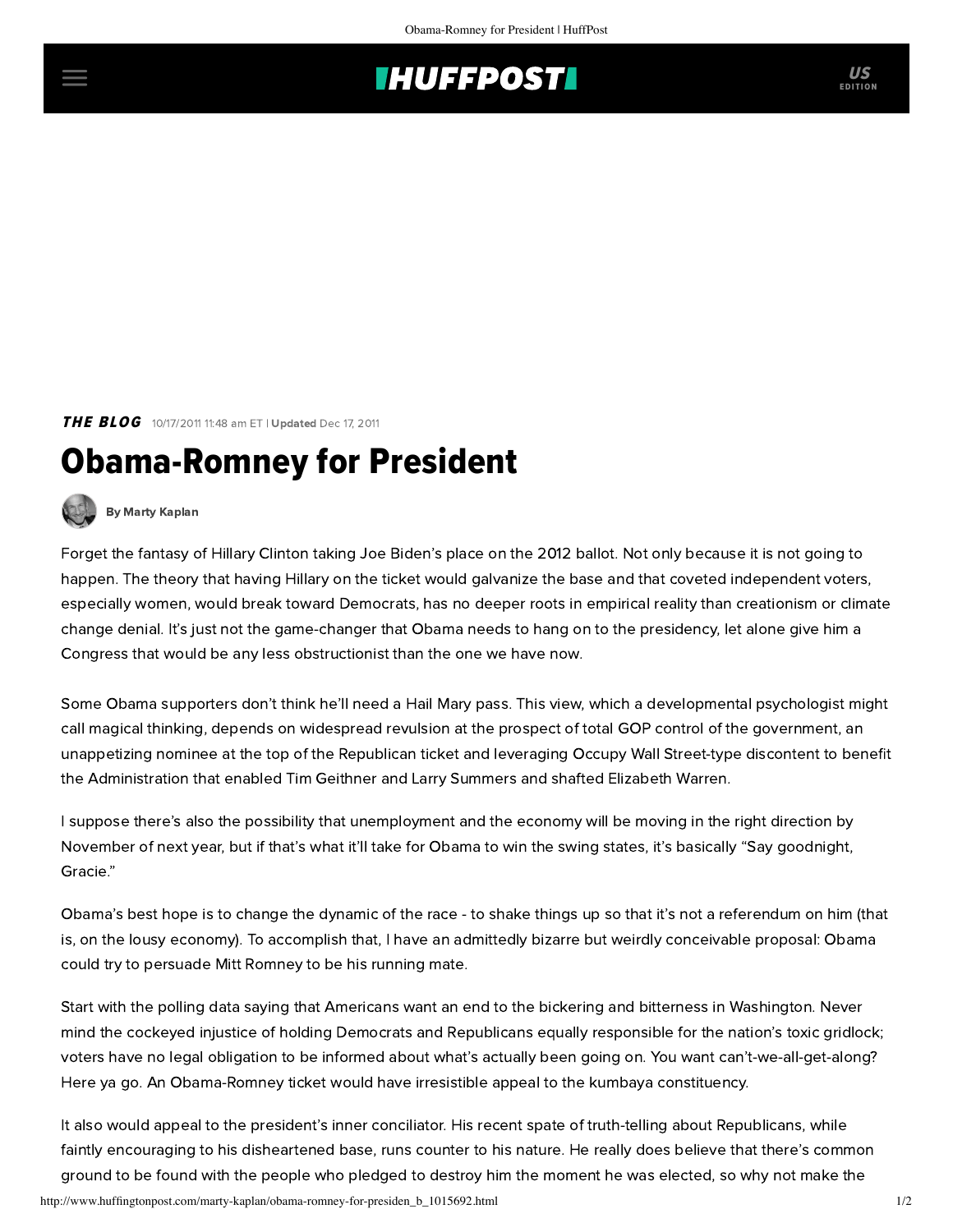## **IHUFFPOSTI** US

THE BLOG 10/17/2011 11:48 am ET | Updated Dec 17, 2011

## Obama-Romney for President



[By Marty Kaplan](http://www.huffingtonpost.com/author/marty-kaplan)

Forget the fantasy of Hillary Clinton taking Joe Biden's place on the 2012 ballot. Not only because it is not going to happen. The theory that having Hillary on the ticket would galvanize the base and that coveted independent voters, especially women, would break toward Democrats, has no deeper roots in empirical reality than creationism or climate change denial. It's just not the game-changer that Obama needs to hang on to the presidency, let alone give him a Congress that would be any less obstructionist than the one we have now.

Some Obama supporters don't think he'll need a Hail Mary pass. This view, which a developmental psychologist might call magical thinking, depends on widespread revulsion at the prospect of total GOP control of the government, an unappetizing nominee at the top of the Republican ticket and leveraging Occupy Wall Street-type discontent to benefit the Administration that enabled Tim Geithner and Larry Summers and shafted Elizabeth Warren.

I suppose there's also the possibility that unemployment and the economy will be moving in the right direction by November of next year, but if that's what it'll take for Obama to win the swing states, it's basically "Say goodnight, Gracie."

Obama's best hope is to change the dynamic of the race - to shake things up so that it's not a referendum on him (that is, on the lousy economy). To accomplish that, I have an admittedly bizarre but weirdly conceivable proposal: Obama could try to persuade Mitt Romney to be his running mate.

Start with the polling data saying that Americans want an end to the bickering and bitterness in Washington. Never mind the cockeyed injustice of holding Democrats and Republicans equally responsible for the nation's toxic gridlock; voters have no legal obligation to be informed about what's actually been going on. You want can't-we-all-get-along? Here ya go. An Obama-Romney ticket would have irresistible appeal to the kumbaya constituency.

It also would appeal to the president's inner conciliator. His recent spate of truth-telling about Republicans, while faintly encouraging to his disheartened base, runs counter to his nature. He really does believe that there's common ground to be found with the people who pledged to destroy him the moment he was elected, so why not make the